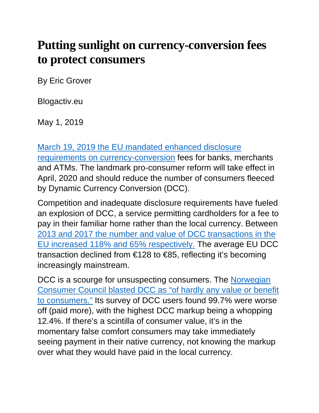## **Putting sunlight on currency-conversion fees to protect consumers**

By Eric Grover

Blogactiv.eu

May 1, 2019

[March 19, 2019 the EU mandated enhanced disclosure](https://eur-lex.europa.eu/legal-content/EN/TXT/HTML/?uri=CELEX:32019R0518&from=EN) 

[requirements on currency-conversion](https://eur-lex.europa.eu/legal-content/EN/TXT/HTML/?uri=CELEX:32019R0518&from=EN) fees for banks, merchants and ATMs. The landmark pro-consumer reform will take effect in April, 2020 and should reduce the number of consumers fleeced by Dynamic Currency Conversion (DCC).

Competition and inadequate disclosure requirements have fueled an explosion of DCC, a service permitting cardholders for a fee to pay in their familiar home rather than the local currency. Between [2013 and 2017 the number and value of DCC transactions in the](https://www.thepaypers.com/expert-opinion/an-analysis-over-eu-s-proposal-on-cross-border-payments-regulation/774819)  [EU increased 118% and 65% respectively.](https://www.thepaypers.com/expert-opinion/an-analysis-over-eu-s-proposal-on-cross-border-payments-regulation/774819) The average EU DCC transaction declined from €128 to €85, reflecting it's becoming increasingly mainstream.

DCC is a scourge for unsuspecting consumers. The Norwegian Consumer Council blasted DCC [as "of hardly any value or benefit](https://fil.forbrukerradet.no/wp-content/uploads/2017/07/input-from-ncc-to-the-european-commission-on-dcc-30062017.pdf)  [to consumers."](https://fil.forbrukerradet.no/wp-content/uploads/2017/07/input-from-ncc-to-the-european-commission-on-dcc-30062017.pdf) Its survey of DCC users found 99.7% were worse off (paid more), with the highest DCC markup being a whopping 12.4%. If there's a scintilla of consumer value, it's in the momentary false comfort consumers may take immediately seeing payment in their native currency, not knowing the markup over what they would have paid in the local currency.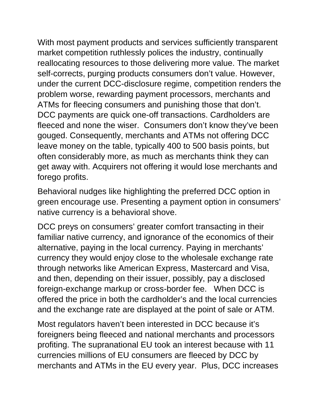With most payment products and services sufficiently transparent market competition ruthlessly polices the industry, continually reallocating resources to those delivering more value. The market self-corrects, purging products consumers don't value. However, under the current DCC-disclosure regime, competition renders the problem worse, rewarding payment processors, merchants and ATMs for fleecing consumers and punishing those that don't. DCC payments are quick one-off transactions. Cardholders are fleeced and none the wiser. Consumers don't know they've been gouged. Consequently, merchants and ATMs not offering DCC leave money on the table, typically 400 to 500 basis points, but often considerably more, as much as merchants think they can get away with. Acquirers not offering it would lose merchants and forego profits.

Behavioral nudges like highlighting the preferred DCC option in green encourage use. Presenting a payment option in consumers' native currency is a behavioral shove.

DCC preys on consumers' greater comfort transacting in their familiar native currency, and ignorance of the economics of their alternative, paying in the local currency. Paying in merchants' currency they would enjoy close to the wholesale exchange rate through networks like American Express, Mastercard and Visa, and then, depending on their issuer, possibly, pay a disclosed foreign-exchange markup or cross-border fee. When DCC is offered the price in both the cardholder's and the local currencies and the exchange rate are displayed at the point of sale or ATM.

Most regulators haven't been interested in DCC because it's foreigners being fleeced and national merchants and processors profiting. The supranational EU took an interest because with 11 currencies millions of EU consumers are fleeced by DCC by merchants and ATMs in the EU every year. Plus, DCC increases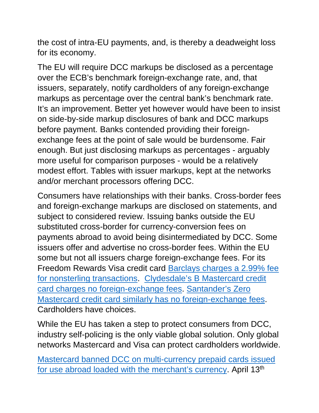the cost of intra-EU payments, and, is thereby a deadweight loss for its economy.

The EU will require DCC markups be disclosed as a percentage over the ECB's benchmark foreign-exchange rate, and, that issuers, separately, notify cardholders of any foreign-exchange markups as percentage over the central bank's benchmark rate. It's an improvement. Better yet however would have been to insist on side-by-side markup disclosures of bank and DCC markups before payment. Banks contended providing their foreignexchange fees at the point of sale would be burdensome. Fair enough. But just disclosing markups as percentages - arguably more useful for comparison purposes - would be a relatively modest effort. Tables with issuer markups, kept at the networks and/or merchant processors offering DCC.

Consumers have relationships with their banks. Cross-border fees and foreign-exchange markups are disclosed on statements, and subject to considered review. Issuing banks outside the EU substituted cross-border for currency-conversion fees on payments abroad to avoid being disintermediated by DCC. Some issuers offer and advertise no cross-border fees. Within the EU some but not all issuers charge foreign-exchange fees. For its Freedom Rewards Visa credit card [Barclays charges a 2.99% fee](https://www.barclaycard.co.uk/personal/barclays-freedom-rewards-summary)  [for nonsterling transactions.](https://www.barclaycard.co.uk/personal/barclays-freedom-rewards-summary) [Clydesdale's B Mastercard credit](https://secure.cbonline.co.uk/personal/credit-cards/)  [card charges no foreign-exchange fees.](https://secure.cbonline.co.uk/personal/credit-cards/) [Santander's Zero](https://www.santander.co.uk/info/credit-cards/zero-credit-card)  [Mastercard credit card similarly has no foreign-exchange fees.](https://www.santander.co.uk/info/credit-cards/zero-credit-card) Cardholders have choices.

While the EU has taken a step to protect consumers from DCC, industry self-policing is the only viable global solution. Only global networks Mastercard and Visa can protect cardholders worldwide.

[Mastercard banned DCC on multi-currency prepaid cards issued](https://www.independent.co.uk/travel/news-and-advice/dcc-mastercard-scam-international-payment-abroad-currency-a8867606.html)  [for use abroad loaded with the merchant's currency.](https://www.independent.co.uk/travel/news-and-advice/dcc-mastercard-scam-international-payment-abroad-currency-a8867606.html) April 13<sup>th</sup>